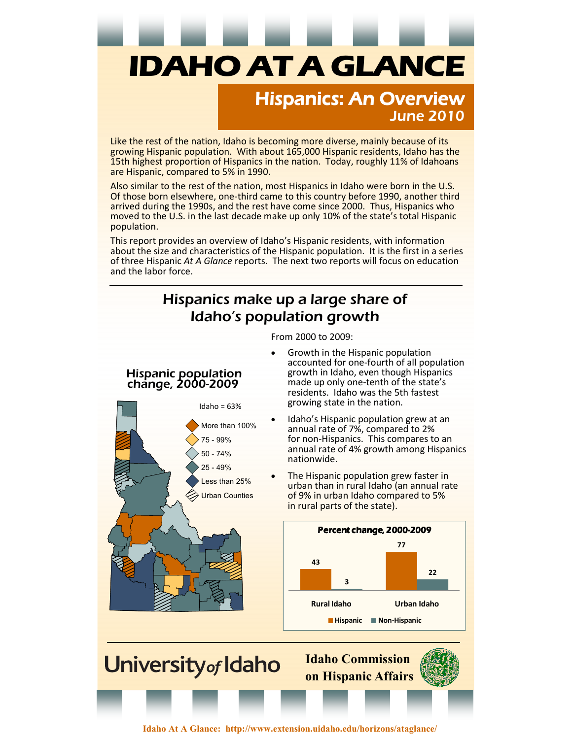# **IDAHO AT A GLANCE**

#### *Hispanics: An Overview June 2010*

Like the rest of the nation, Idaho is becoming more diverse, mainly because of its growing Hispanic population. With about 165,000 Hispanic residents, Idaho has the 15th highest proportion of Hispanics in the nation. Today, roughly 11% of Idahoans are Hispanic, compared to 5% in 1990.

Also similar to the rest of the nation, most Hispanics in Idaho were born in the U.S. Of those born elsewhere, one-third came to this country before 1990, another third arrived during the 1990s, and the rest have come since 2000. Thus, Hispanics who moved to the U.S. in the last decade make up only 10% of the state's total Hispanic population.

This report provides an overview of Idaho's Hispanic residents, with information about the size and characteristics of the Hispanic population. It is the first in a series of three Hispanic *At A Glance* reports. The next two reports will focus on education and the labor force.

#### *Hispanics make up a large share of Idaho's population growth*

From 2000 to 2009:

#### *Hispanic population change, 2000-2009*



• Growth in the Hispanic population accounted for one-fourth of all population growth in Idaho, even though Hispanics made up only one-tenth of the state's residents. Idaho was the 5th fastest growing state in the nation.

Idaho's Hispanic population grew at an annual rate of 7%, compared to 2% for non-Hispanics. This compares to an annual rate of 4% growth among Hispanics nationwide.

The Hispanic population grew faster in urban than in rural Idaho (an annual rate of 9% in urban Idaho compared to 5% in rural parts of the state).



**Idaho Commission on Hispanic Affairs** 

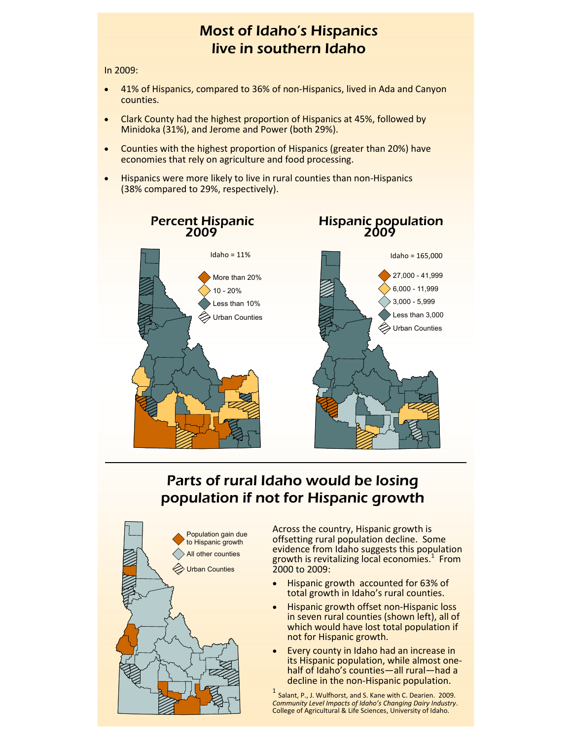#### *Most of Idaho's Hispanics live in southern Idaho*

In 2009:

- 41% of Hispanics, compared to 36% of non-Hispanics, lived in Ada and Canyon counties.
- Clark County had the highest proportion of Hispanics at 45%, followed by Minidoka (31%), and Jerome and Power (both 29%).
- Counties with the highest proportion of Hispanics (greater than 20%) have economies that rely on agriculture and food processing.
- Hispanics were more likely to live in rural counties than non-Hispanics (38% compared to 29%, respectively).



## *Parts of rural Idaho would be losing population if not for Hispanic growth*



Across the country, Hispanic growth is offsetting rural population decline. Some evidence from Idaho suggests this population growth is revitalizing local economies.<sup>1</sup> From 2000 to 2009:

- Hispanic growth accounted for 63% of total growth in Idaho's rural counties.
- Hispanic growth offset non-Hispanic loss in seven rural counties (shown left), all of which would have lost total population if not for Hispanic growth.
- Every county in Idaho had an increase in its Hispanic population, while almost onehalf of Idaho's counties—all rural—had a decline in the non-Hispanic population.

 $<sup>1</sup>$  Salant, P., J. Wulfhorst, and S. Kane with C. Dearien. 2009.</sup> *Community Level Impacts of Idaho's Changing Dairy Industry*. College of Agricultural & Life Sciences, University of Idaho.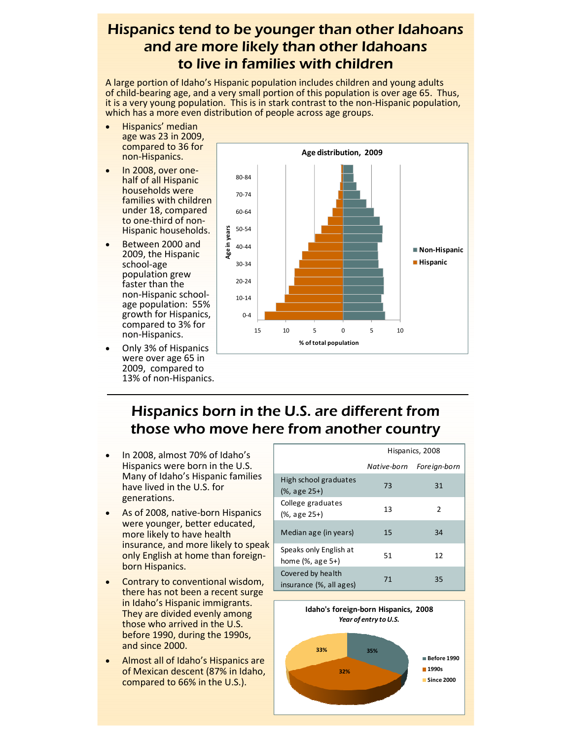#### *Hispanics tend to be younger than other Idahoans and are more likely than other Idahoans to live in families with children*

A large portion of Idaho's Hispanic population includes children and young adults of child-bearing age, and a very small portion of this population is over age 65. Thus, it is a very young population. This is in stark contrast to the non-Hispanic population, which has a more even distribution of people across age groups.

- Hispanics' median age was 23 in 2009, compared to 36 for non-Hispanics.
- In 2008, over onehalf of all Hispanic households were families with children under 18, compared to one-third of non-Hispanic households.
- Between 2000 and 2009, the Hispanic school-age population grew faster than the non-Hispanic schoolage population: 55% growth for Hispanics, compared to 3% for non-Hispanics.
- Only 3% of Hispanics were over age 65 in 2009, compared to 13% of non-Hispanics.



### *Hispanics born in the U.S. are different from those who move here from another country*

- In 2008, almost 70% of Idaho's Hispanics were born in the U.S. Many of Idaho's Hispanic families have lived in the U.S. for generations.
- As of 2008, native-born Hispanics were younger, better educated, more likely to have health insurance, and more likely to speak only English at home than foreignborn Hispanics.
- Contrary to conventional wisdom, there has not been a recent surge in Idaho's Hispanic immigrants. They are divided evenly among those who arrived in the U.S. before 1990, during the 1990s, and since 2000.
- Almost all of Idaho's Hispanics are of Mexican descent (87% in Idaho, compared to 66% in the U.S.).

|                                                        | Hispanics, 2008 |              |  |
|--------------------------------------------------------|-----------------|--------------|--|
|                                                        | Native-born     | Foreign-born |  |
| High school graduates<br>$(% )^{2}(x, a)$ (%, age 25+) | 73              | 31           |  |
| College graduates<br>(%, age 25+)                      | 13              | 2            |  |
| Median age (in years)                                  | 15              | 34           |  |
| Speaks only English at<br>home $(\%$ , age 5+)         | 51              | 12           |  |
| Covered by health<br>insurance (%, all ages)           | 71              | 35           |  |